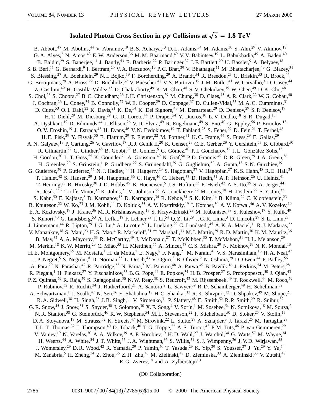## **Isolated Photon Cross Section in**  $p\bar{p}$  Collisions at  $\sqrt{s} = 1.8$  TeV

B. Abbott,<sup>47</sup> M. Abolins,<sup>44</sup> V. Abramov,<sup>19</sup> B. S. Acharya,<sup>13</sup> D. L. Adams,<sup>54</sup> M. Adams,<sup>30</sup> S. Ahn,<sup>29</sup> V. Akimov,<sup>17</sup> G. A. Alves,<sup>2</sup> N. Amos,<sup>43</sup> E. W. Anderson,<sup>36</sup> M. M. Baarmand,<sup>49</sup> V. V. Babintsev,<sup>19</sup> L. Babukhadia,<sup>49</sup> A. Baden,<sup>40</sup> B. Baldin,<sup>29</sup> S. Banerjee,<sup>13</sup> J. Bantly,<sup>53</sup> E. Barberis,<sup>22</sup> P. Baringer,<sup>37</sup> J. F. Bartlett,<sup>29</sup> U. Bassler,<sup>9</sup> A. Belyaev,<sup>18</sup> S. B. Beri,<sup>11</sup> G. Bernardi,<sup>9</sup> I. Bertram,<sup>20</sup> V. A. Bezzubov,<sup>19</sup> P. C. Bhat,<sup>29</sup> V. Bhatnagar,<sup>11</sup> M. Bhattacharjee,<sup>49</sup> G. Blazey,<sup>31</sup> S. Blessing,<sup>27</sup> A. Boehnlein,<sup>29</sup> N. I. Bojko,<sup>19</sup> F. Borcherding,<sup>29</sup> A. Brandt,<sup>54</sup> R. Breedon,<sup>23</sup> G. Briskin,<sup>53</sup> R. Brock,<sup>44</sup> G. Brooijmans,<sup>29</sup> A. Bross,<sup>29</sup> D. Buchholz,<sup>32</sup> V. Buescher,<sup>48</sup> V. S. Burtovoi,<sup>19</sup> J. M. Butler,<sup>41</sup> W. Carvalho,<sup>3</sup> D. Casey,<sup>44</sup> Z. Casilum,<sup>49</sup> H. Castilla-Valdez,<sup>15</sup> D. Chakraborty,<sup>49</sup> K.M. Chan,<sup>48</sup> S.V. Chekulaev,<sup>19</sup> W. Chen,<sup>49</sup> D.K. Cho,<sup>48</sup> S. Choi,<sup>26</sup> S. Chopra,<sup>27</sup> B. C. Choudhary,<sup>26</sup> J. H. Christenson,<sup>29</sup> M. Chung,<sup>30</sup> D. Claes,<sup>45</sup> A. R. Clark,<sup>22</sup> W. G. Cobau,<sup>40</sup> J. Cochran,<sup>26</sup> L. Coney,<sup>34</sup> B. Connolly,<sup>27</sup> W. E. Cooper,<sup>29</sup> D. Coppage,<sup>37</sup> D. Cullen-Vidal,<sup>53</sup> M. A. C. Cummings,<sup>31</sup> D. Cutts,<sup>53</sup> O. I. Dahl,<sup>22</sup> K. Davis,<sup>21</sup> K. De,<sup>54</sup> K. Del Signore,<sup>43</sup> M. Demarteau,<sup>29</sup> D. Denisov,<sup>29</sup> S. P. Denisov,<sup>19</sup> H. T. Diehl,<sup>29</sup> M. Diesburg,<sup>29</sup> G. Di Loreto,<sup>44</sup> P. Draper,<sup>54</sup> Y. Ducros,<sup>10</sup> L. V. Dudko,<sup>18</sup> S. R. Dugad,<sup>13</sup> A. Dyshkant,<sup>19</sup> D. Edmunds,<sup>44</sup> J. Ellison,<sup>26</sup> V.D. Elvira,<sup>49</sup> R. Engelmann,<sup>49</sup> S. Eno,<sup>40</sup> G. Eppley,<sup>56</sup> P. Ermolov,<sup>18</sup> O. V. Eroshin,<sup>19</sup> J. Estrada,<sup>48</sup> H. Evans,<sup>46</sup> V. N. Evdokimov,<sup>19</sup> T. Fahland,<sup>25</sup> S. Feher,<sup>29</sup> D. Fein,<sup>21</sup> T. Ferbel,<sup>48</sup> H. E. Fisk,<sup>29</sup> Y. Fisyak,<sup>50</sup> E. Flattum,<sup>29</sup> F. Fleuret,<sup>22</sup> M. Fortner,<sup>31</sup> K. C. Frame,<sup>44</sup> S. Fuess,<sup>29</sup> E. Gallas,<sup>29</sup> A. N. Galyaev,<sup>19</sup> P. Gartung,<sup>26</sup> V. Gavrilov,<sup>17</sup> R. J. Genik II,<sup>20</sup> K. Genser,<sup>29</sup> C. E. Gerber,<sup>29</sup> Y. Gershtein,<sup>53</sup> B. Gibbard,<sup>50</sup> R. Gilmartin,<sup>27</sup> G. Ginther,<sup>48</sup> B. Gobbi,<sup>32</sup> B. Gómez,<sup>5</sup> G. Gómez,<sup>40</sup> P.I. Goncharov,<sup>19</sup> J.L. González Solís,<sup>15</sup> H. Gordon,<sup>50</sup> L. T. Goss,<sup>55</sup> K. Gounder,<sup>26</sup> A. Goussiou,<sup>49</sup> N. Graf,<sup>50</sup> P. D. Grannis,<sup>49</sup> D. R. Green,<sup>29</sup> J. A. Green,<sup>36</sup> H. Greenlee,<sup>29</sup> S. Grinstein,<sup>1</sup> P. Grudberg,<sup>22</sup> S. Grünendahl,<sup>29</sup> G. Guglielmo,<sup>52</sup> A. Gupta,<sup>13</sup> S. N. Gurzhiev,<sup>19</sup> G. Gutierrez,<sup>29</sup> P. Gutierrez,<sup>52</sup> N. J. Hadley,<sup>40</sup> H. Haggerty,<sup>29</sup> S. Hagopian,<sup>27</sup> V. Hagopian,<sup>27</sup> K. S. Hahn,<sup>48</sup> R. E. Hall,<sup>24</sup> P. Hanlet,<sup>42</sup> S. Hansen,<sup>29</sup> J. M. Hauptman,<sup>36</sup> C. Hays,<sup>46</sup> C. Hebert,<sup>37</sup> D. Hedin,<sup>31</sup> A. P. Heinson,<sup>26</sup> U. Heintz,<sup>41</sup> T. Heuring,<sup>27</sup> R. Hirosky,<sup>30</sup> J. D. Hobbs,<sup>49</sup> B. Hoeneisen,<sup>6</sup> J. S. Hoftun,<sup>53</sup> F. Hsieh,<sup>43</sup> A. S. Ito,<sup>29</sup> S. A. Jerger,<sup>44</sup> R. Jesik,<sup>33</sup> T. Joffe-Minor,<sup>32</sup> K. Johns,<sup>21</sup> M. Johnson,<sup>29</sup> A. Jonckheere,<sup>29</sup> M. Jones,<sup>28</sup> H. Jöstlein,<sup>29</sup> S. Y. Jun,<sup>32</sup> S. Kahn,<sup>50</sup> E. Kajfasz,<sup>8</sup> D. Karmanov,<sup>18</sup> D. Karmgard,<sup>34</sup> R. Kehoe,<sup>34</sup> S. K. Kim,<sup>14</sup> B. Klima,<sup>29</sup> C. Klopfenstein,<sup>23</sup> B. Knuteson,<sup>22</sup> W. Ko,<sup>23</sup> J. M. Kohli,<sup>11</sup> D. Koltick,<sup>35</sup> A. V. Kostritskiy,<sup>19</sup> J. Kotcher,<sup>50</sup> A. V. Kotwal,<sup>46</sup> A. V. Kozelov,<sup>19</sup> E. A. Kozlovsky,<sup>19</sup> J. Krane,<sup>36</sup> M. R. Krishnaswamy,<sup>13</sup> S. Krzywdzinski,<sup>29</sup> M. Kubantsev,<sup>38</sup> S. Kuleshov,<sup>17</sup> Y. Kulik,<sup>49</sup> S. Kunori,<sup>40</sup> G. Landsberg,<sup>53</sup> A. Leflat,<sup>18</sup> F. Lehner,<sup>29</sup> J. Li,<sup>54</sup> Q. Z. Li,<sup>29</sup> J. G. R. Lima,<sup>3</sup> D. Lincoln,<sup>29</sup> S. L. Linn,<sup>27</sup> J. Linnemann,<sup>44</sup> R. Lipton,<sup>29</sup> J. G. Lu,<sup>4</sup> A. Lucotte,<sup>49</sup> L. Lueking,<sup>29</sup> C. Lundstedt,<sup>45</sup> A. K. A. Maciel,<sup>31</sup> R. J. Madaras,<sup>22</sup> V. Manankov,<sup>18</sup> S. Mani,<sup>23</sup> H. S. Mao,<sup>4</sup> R. Markeloff,<sup>31</sup> T. Marshall,<sup>33</sup> M. I. Martin,<sup>29</sup> R. D. Martin,<sup>30</sup> K. M. Mauritz,<sup>36</sup> B. May,<sup>32</sup> A. A. Mayorov,<sup>33</sup> R. McCarthy,<sup>49</sup> J. McDonald,<sup>27</sup> T. McKibben,<sup>30</sup> T. McMahon,<sup>51</sup> H. L. Melanson,<sup>29</sup> M. Merkin,<sup>18</sup> K. W. Merritt,<sup>29</sup> C. Miao,<sup>53</sup> H. Miettinen,<sup>56</sup> A. Mincer,<sup>47</sup> C. S. Mishra,<sup>29</sup> N. Mokhov,<sup>29</sup> N. K. Mondal,<sup>13</sup> H. E. Montgomery,<sup>29</sup> M. Mostafa,<sup>1</sup> H. da Motta,<sup>2</sup> E. Nagy,<sup>8</sup> F. Nang,<sup>21</sup> M. Narain,<sup>41</sup> V. S. Narasimham,<sup>13</sup> H. A. Neal,<sup>43</sup> J. P. Negret,<sup>5</sup> S. Negroni,<sup>8</sup> D. Norman,<sup>55</sup> L. Oesch,<sup>43</sup> V. Oguri,<sup>3</sup> B. Olivier,<sup>9</sup> N. Oshima,<sup>29</sup> D. Owen,<sup>44</sup> P. Padley,<sup>56</sup> A. Para,<sup>29</sup> N. Parashar,<sup>42</sup> R. Partridge,<sup>53</sup> N. Parua,<sup>7</sup> M. Paterno,<sup>48</sup> A. Patwa,<sup>49</sup> B. Pawlik,<sup>16</sup> J. Perkins,<sup>54</sup> M. Peters,<sup>28</sup> R. Piegaia,<sup>1</sup> H. Piekarz,<sup>27</sup> Y. Pischalnikov,<sup>35</sup> B. G. Pope,<sup>44</sup> E. Popkov,<sup>34</sup> H. B. Prosper,<sup>27</sup> S. Protopopescu,<sup>50</sup> J. Qian,<sup>43</sup> P. Z. Quintas,<sup>29</sup> R. Raja,<sup>29</sup> S. Rajagopalan,<sup>50</sup> N. W. Reay,<sup>38</sup> S. Reucroft,<sup>42</sup> M. Rijssenbeek,<sup>49</sup> T. Rockwell,<sup>44</sup> M. Roco,<sup>29</sup> P. Rubinov,<sup>32</sup> R. Ruchti,<sup>34</sup> J. Rutherfoord,<sup>21</sup> A. Santoro,<sup>2</sup> L. Sawyer,<sup>39</sup> R.D. Schamberger,<sup>49</sup> H. Schellman,<sup>32</sup> A. Schwartzman,<sup>1</sup> J. Sculli,<sup>47</sup> N. Sen,<sup>56</sup> E. Shabalina,<sup>18</sup> H. C. Shankar,<sup>13</sup> R. K. Shivpuri,<sup>12</sup> D. Shpakov,<sup>49</sup> M. Shupe,<sup>21</sup> R. A. Sidwell,<sup>38</sup> H. Singh,<sup>26</sup> J. B. Singh,<sup>11</sup> V. Sirotenko,<sup>31</sup> P. Slattery,<sup>48</sup> E. Smith,<sup>52</sup> R. P. Smith,<sup>29</sup> R. Snihur,<sup>32</sup> G. R. Snow,<sup>45</sup> J. Snow,<sup>51</sup> S. Snyder,<sup>50</sup> J. Solomon,<sup>30</sup> X. F. Song,<sup>4</sup> V. Sorín,<sup>1</sup> M. Sosebee,<sup>54</sup> N. Sotnikova,<sup>18</sup> M. Souza,<sup>2</sup> N. R. Stanton,<sup>38</sup> G. Steinbrück,<sup>46</sup> R. W. Stephens,<sup>54</sup> M. L. Stevenson,<sup>22</sup> F. Stichelbaut,<sup>50</sup> D. Stoker,<sup>25</sup> V. Stolin,<sup>17</sup> D. A. Stoyanova,<sup>19</sup> M. Strauss,<sup>52</sup> K. Streets,<sup>47</sup> M. Strovink,<sup>22</sup> L. Stutte,<sup>29</sup> A. Sznajder,<sup>3</sup> J. Tarazi,<sup>25</sup> M. Tartaglia,<sup>29</sup> T. L. T. Thomas,<sup>32</sup> J. Thompson,<sup>40</sup> D. Toback,<sup>40</sup> T. G. Trippe,<sup>22</sup> A. S. Turcot,<sup>43</sup> P. M. Tuts,<sup>46</sup> P. van Gemmeren,<sup>29</sup> V. Vaniev,<sup>19</sup> N. Varelas,<sup>30</sup> A. A. Volkov,<sup>19</sup> A. P. Vorobiev,<sup>19</sup> H. D. Wahl,<sup>27</sup> J. Warchol,<sup>34</sup> G. Watts,<sup>57</sup> M. Wayne,<sup>34</sup> H. Weerts,<sup>44</sup> A. White,<sup>54</sup> J. T. White,<sup>55</sup> J. A. Wightman,<sup>36</sup> S. Willis,<sup>31</sup> S. J. Wimpenny,<sup>26</sup> J. V. D. Wirjawan,<sup>55</sup> J. Womersley,<sup>29</sup> D. R. Wood,<sup>42</sup> R. Yamada,<sup>29</sup> P. Yamin,<sup>50</sup> T. Yasuda,<sup>29</sup> K. Yip,<sup>29</sup> S. Youssef,<sup>27</sup> J. Yu,<sup>29</sup> Y. Yu,<sup>14</sup> M. Zanabria,<sup>5</sup> H. Zheng,<sup>34</sup> Z. Zhou,<sup>36</sup> Z. H. Zhu,<sup>48</sup> M. Zielinski,<sup>48</sup> D. Zieminska,<sup>33</sup> A. Zieminski,<sup>33</sup> V. Zutshi,<sup>48</sup> E. G. Zverev,  $^{18}$  and A. Zylberstejn $^{10}$ 

(D0 Collaboration)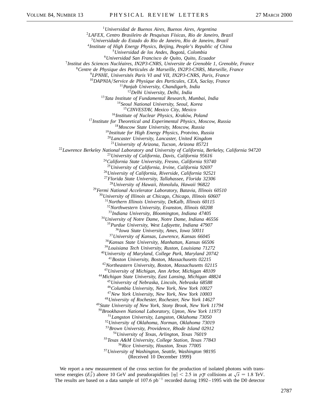*Universidad de Buenos Aires, Buenos Aires, Argentina LAFEX, Centro Brasileiro de Pesquisas Físicas, Rio de Janeiro, Brazil Universidade do Estado do Rio de Janeiro, Rio de Janeiro, Brazil Institute of High Energy Physics, Beijing, People's Republic of China Universidad de los Andes, Bogotá, Colombia Universidad San Francisco de Quito, Quito, Ecuador Institut des Sciences Nucléaires, IN2P3-CNRS, Universite de Grenoble 1, Grenoble, France Centre de Physique des Particules de Marseille, IN2P3-CNRS, Marseille, France LPNHE, Universités Paris VI and VII, IN2P3-CNRS, Paris, France DAPNIAService de Physique des Particules, CEA, Saclay, France Panjab University, Chandigarh, India Delhi University, Delhi, India Tata Institute of Fundamental Research, Mumbai, India Seoul National University, Seoul, Korea CINVESTAV, Mexico City, Mexico Institute of Nuclear Physics, Kraków, Poland Institute for Theoretical and Experimental Physics, Moscow, Russia Moscow State University, Moscow, Russia Institute for High Energy Physics, Protvino, Russia Lancaster University, Lancaster, United Kingdom University of Arizona, Tucson, Arizona 85721 Lawrence Berkeley National Laboratory and University of California, Berkeley, California 94720 University of California, Davis, California 95616 California State University, Fresno, California 93740 University of California, Irvine, California 92697 University of California, Riverside, California 92521 Florida State University, Tallahassee, Florida 32306 University of Hawaii, Honolulu, Hawaii 96822 Fermi National Accelerator Laboratory, Batavia, Illinois 60510 University of Illinois at Chicago, Chicago, Illinois 60607 Northern Illinois University, DeKalb, Illinois 60115 Northwestern University, Evanston, Illinois 60208 Indiana University, Bloomington, Indiana 47405 University of Notre Dame, Notre Dame, Indiana 46556 Purdue University, West Lafayette, Indiana 47907 Iowa State University, Ames, Iowa 50011 University of Kansas, Lawrence, Kansas 66045 Kansas State University, Manhattan, Kansas 66506 Louisiana Tech University, Ruston, Louisiana 71272 University of Maryland, College Park, Maryland 20742 Boston University, Boston, Massachusetts 02215 Northeastern University, Boston, Massachusetts 02115 University of Michigan, Ann Arbor, Michigan 48109 Michigan State University, East Lansing, Michigan 48824 University of Nebraska, Lincoln, Nebraska 68588 Columbia University, New York, New York 10027 New York University, New York, New York 10003 University of Rochester, Rochester, New York 14627 State University of New York, Stony Brook, New York 11794 Brookhaven National Laboratory, Upton, New York 11973 Langston University, Langston, Oklahoma 73050 University of Oklahoma, Norman, Oklahoma 73019 Brown University, Providence, Rhode Island 02912 University of Texas, Arlington, Texas 76019 Texas A&M University, College Station, Texas 77843 Rice University, Houston, Texas 77005 University of Washington, Seattle, Washington 98195*

(Received 10 December 1999)

We report a new measurement of the cross section for the production of isolated photons with transwe report a new measurement or the cross section for the production or isolated photons with trans-<br>verse energies  $(E_T^{\gamma})$  above 10 GeV and pseudorapidities  $|\eta| < 2.5$  in  $p\overline{p}$  collisions at  $\sqrt{s} = 1.8$  TeV. The results are based on a data sample of 107.6  $pb^{-1}$  recorded during 1992–1995 with the D0 detector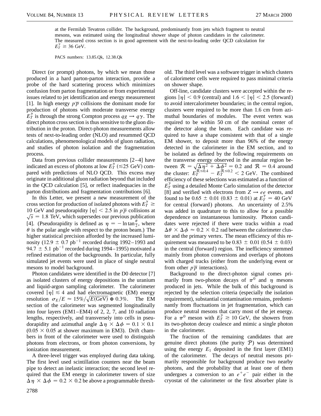at the Fermilab Tevatron collider. The background, predominantly from jets which fragment to neutral mesons, was estimated using the longitudinal shower shape of photon candidates in the calorimeter. The measured cross section is in good agreement with the next-to-leading order QCD calculation for  $E_T^{\gamma} \ge 36$  GeV.

PACS numbers: 13.85.Qk, 12.38.Qk

Direct (or prompt) photons, by which we mean those produced in a hard parton-parton interaction, provide a probe of the hard scattering process which minimizes confusion from parton fragmentation or from experimental issues related to jet identification and energy measurement [1]. In high energy  $p\overline{p}$  collisions the dominant mode for production of photons with moderate transverse energy  $E_T^{\gamma}$  is through the strong Compton process  $qg \to q\gamma$ . The direct photon cross section is thus sensitive to the gluon distribution in the proton. Direct-photon measurements allow tests of next-to-leading order (NLO) and resummed QCD calculations, phenomenological models of gluon radiation, and studies of photon isolation and the fragmentation process.

Data from previous collider measurements [2–4] have indicated an excess of photons at low  $E_T^{\gamma}$  ( $\leq$ 25 GeV) compared with predictions of NLO QCD. This excess may originate in additional gluon radiation beyond that included in the QCD calculation [5], or reflect inadequacies in the parton distributions and fragmentation contributions [6].

In this Letter, we present a new measurement of the cross section for production of isolated photons with  $E_T^{\gamma} \geq$ 10 GeV and pseudorapidity  $|\eta| < 2.5$  in  $p\overline{p}$  collisions at  $\sqrt{s}$  = 1.8 TeV, which supersedes our previous publication [4]. (Pseudorapidity is defined as  $\eta = -\ln \tan \frac{\theta}{2}$ , where  $\theta$  is the polar angle with respect to the proton beam.) The higher statistical precision afforded by the increased luminosity (12.9  $\pm$  0.7 pb<sup>-1</sup> recorded during 1992–1993 and 94.7  $\pm$  5.1 pb<sup>-1</sup> recorded during 1994–1995) motivated a refined estimation of the backgrounds. In particular, fully simulated jet events were used in place of single neutral mesons to model background.

Photon candidates were identified in the D0 detector [7] as isolated clusters of energy depositions in the uranium and liquid-argon sampling calorimeter. The calorimeter covered  $|\eta| \leq 4$  and had electromagnetic (EM) energy resolution  $\sigma_E/E \approx 15\% / \sqrt{E(\text{GeV})} \oplus 0.3\%$ . The EM section of the calorimeter was segmented longitudinally into four layers (EM1–EM4) of 2, 2, 7, and 10 radiation lengths, respectively, and transversely into cells in pseudorapidity and azimuthal angle  $\Delta \eta \times \Delta \phi = 0.1 \times 0.1$  $(0.05 \times 0.05$  at shower maximum in EM3). Drift chambers in front of the calorimeter were used to distinguish photons from electrons, or from photon conversions, by ionization measurement.

A three-level trigger was employed during data taking. The first level used scintillation counters near the beam pipe to detect an inelastic interaction; the second level required that the EM energy in calorimeter towers of size  $\Delta \eta \times \Delta \phi = 0.2 \times 0.2$  be above a programmable threshold. The third level was a software trigger in which clusters of calorimeter cells were required to pass minimal criteria on shower shape.

Off-line, candidate clusters were accepted within the regions  $|\eta|$  < 0.9 (central) and 1.6 <  $|\eta|$  < 2.5 (forward) to avoid intercalorimeter boundaries; in the central region, clusters were required to be more than 1.6 cm from azimuthal boundaries of modules. The event vertex was required to be within 50 cm of the nominal center of the detector along the beam. Each candidate was required to have a shape consistent with that of a single EM shower, to deposit more than 96% of the energy detected in the calorimeter in the EM section, and to be isolated as defined by the following requirements on the transverse energy observed in the annular region between  $R = \sqrt{\Delta \eta^2 + \Delta \phi^2} = 0.2$  and  $R = 0.4$  around the cluster:  $E_T^{R \le 0.4} - E_T^{R \le 0.2} < 2$  GeV. The combined efficiency of these selections was estimated as a function of  $E_T^{\gamma}$  using a detailed Monte Carlo simulation of the detector [8] and verified with electrons from  $Z \rightarrow ee$  events, and found to be  $0.65 \pm 0.01$   $(0.83 \pm 0.01)$  at  $E_T^{\gamma} = 40$  GeV for central (forward) photons. An uncertainty of 2.5% was added in quadrature to this to allow for a possible dependence on instantaneous luminosity. Photon candidates were rejected if there were tracks within a road  $\Delta\theta \times \Delta\phi \approx 0.2 \times 0.2$  rad between the calorimeter cluster and the primary vertex. The mean efficiency of this requirement was measured to be  $0.83 \pm 0.01$   $(0.54 \pm 0.03)$ in the central (forward) region. The inefficiency stemmed mainly from photon conversions and overlaps of photons with charged tracks (either from the underlying event or from other  $p\overline{p}$  interactions).

Background to the direct-photon signal comes primarily from two-photon decays of  $\pi^{0}$  and  $\eta$  mesons produced in jets. While the bulk of this background is rejected by the selection criteria (especially the isolation requirement), substantial contamination remains, predominantly from fluctuations in jet fragmentation, which can produce neutral mesons that carry most of the jet energy. For a  $\pi^0$  meson with  $E_T^{\gamma} \ge 10$  GeV, the showers from its two-photon decay coalesce and mimic a single photon in the calorimeter.

The fraction of the remaining candidates that are genuine direct photons (the purity  $P$ ) was determined using the energy  $E_1$  deposited in the first layer (EM1) of the calorimeter. The decays of neutral mesons primarily responsible for background produce two nearby photons, and the probability that at least one of them undergoes a conversion to an  $e^+e^-$  pair either in the cryostat of the calorimeter or the first absorber plate is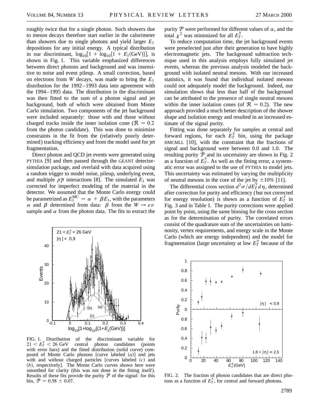roughly twice that for a single photon. Such showers due to meson decays therefore start earlier in the calorimeter than showers due to single photons and yield larger  $E_1$ depositions for any initial energy. A typical distribution in our discriminant,  $log_{10}[1 + log_{10}{1 + E_1(GeV)}]$ , is shown in Fig. 1. This variable emphasized differences between direct photons and background and was insensitive to noise and event pileup. A small correction, based on electrons from *W* decays, was made to bring the *E*<sup>1</sup> distribution for the 1992–1993 data into agreement with the 1994–1995 data. The distribution in the discriminant was then fitted to the sum of a photon signal and jet background, both of which were obtained from Monte Carlo simulation. Two components of the jet background were included separately: those with and those without charged tracks inside the inner isolation cone ( $\mathcal{R} = 0.2$ ) from the photon candidate). This was done to minimize constraints in the fit from the (relatively poorly determined) tracking efficiency and from the model used for jet fragmentation.

Direct photon and QCD jet events were generated using PYTHIA [9] and then passed through the GEANT detectorsimulation package, and overlaid with data acquired using a random trigger to model noise, pileup, underlying event, and multiple  $p\overline{p}$  interactions [8]. The simulated  $E_1$  was corrected for imperfect modeling of the material in the detector. We assumed that the Monte Carlo energy could be parametrized as  $E_1^{\text{MC}} = \alpha + \beta E_1$ , with the parameters  $\alpha$  and  $\beta$  determined from data:  $\beta$  from the  $W \rightarrow e\nu$ sample and  $\alpha$  from the photon data. The fits to extract the



FIG. 1. Distribution of the discriminant variable for  $21 < E_T^{\gamma} < 26 \text{ GeV}$ central photon candidates (points with error bars) and the fitted distribution (solid curve) composed of Monte Carlo photons [curve labeled  $(a)$ ] and jets with and without charged particles [curves labeled  $(c)$  and (b), respectively]. The Monte Carlo curves shown here were smoothed for clarity (this was not done in the fitting itself). Results of these fits provide the purity  $P$  of the signal: for this bin,  $P = 0.58 \pm 0.07$ .

purity P were performed for different values of  $\alpha$ , and the total  $\chi^2$  was minimized for all  $E_T^{\gamma}$ .

To reduce computation time, the jet background events were preselected just after their generation to have highly electromagnetic jets. The background subtraction technique used in this analysis employs fully simulated jet events, whereas the previous analysis modeled the background with isolated neutral mesons. With our increased statistics, it was found that individual isolated mesons could not adequately model the background. Indeed, our simulation shows that less than half of the background can be attributed to the presence of single neutral mesons within the inner isolation cones (of  $\mathcal{R} = 0.2$ ). The new approach provided a much better description of the shower shape and isolation energy and resulted in an increased estimate of the signal purity.

Fitting was done separately for samples at central and forward regions, for each  $E_T^{\gamma}$  bin, using the package HMCMLL [10], with the constraint that the fractions of signal and background were between 0.0 and 1.0. The resulting purity  $P$  and its uncertainty are shown in Fig. 2 as a function of  $E_T^{\gamma}$ . As well as the fitting error, a systematic error was assigned to the use of PYTHIA to model jets. This uncertainty was estimated by varying the multiplicity of neutral mesons in the core of the jet by  $\pm 10\%$  [11].

The differential cross section  $d^2\sigma/dE_T^{\gamma}d\eta$ , determined after correction for purity and efficiency (but not corrected for energy resolution) is shown as a function of  $E_T^{\gamma}$  in Fig. 3 and in Table I. The purity corrections were applied point by point, using the same binning for the cross section as for the determination of purity. The correlated errors consist of the quadrature sum of the uncertainties on luminosity, vertex requirements, and energy scale in the Monte Carlo (which are energy independent) and the model for fragmentation (large uncertainty at low  $E_T^{\gamma}$  because of the



FIG. 2. The fraction of photon candidates that are direct photons as a function of  $E_T^{\gamma}$ , for central and forward photons.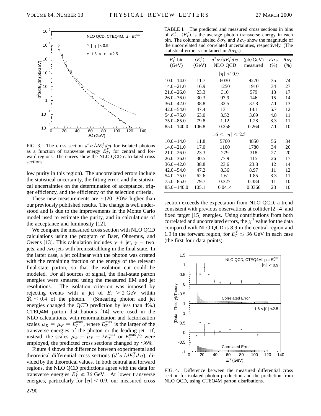

FIG. 3. The cross section  $d^2\sigma/dE_T^{\gamma}d\eta$  for isolated photons as a function of transverse energy  $E_T^{\gamma}$ , for central and forward regions. The curves show the NLO QCD calculated cross sections.

low purity in this region). The uncorrelated errors include the statistical uncertainty, the fitting error, and the statistical uncertainties on the determination of acceptance, trigger efficiency, and the efficiency of the selection criteria.

These new measurements are  $\approx$  (20–30)% higher than our previously published results. The change is well understood and is due to the improvements in the Monte Carlo model used to estimate the purity, and in calculations of the acceptance and luminosity [12].

We compare the measured cross section with NLO QCD calculations using the program of Baer, Ohnemus, and Owens [13]. This calculation includes  $\gamma$  + jet,  $\gamma$  + two jets, and two jets with bremsstrahlung in the final state. In the latter case, a jet collinear with the photon was created with the remaining fraction of the energy of the relevant final-state parton, so that the isolation cut could be modeled. For all sources of signal, the final-state parton energies were smeared using the measured EM and jet resolutions. The isolation criterion was imposed by rejecting events with a jet of  $E_T > 2$  GeV within  $R \leq 0.4$  of the photon. (Smearing photon and jet energies changed the QCD prediction by less than 4%.) CTEQ4M parton distributions [14] were used in the NLO calculations, with renormalization and factorization scales  $\mu_R = \mu_F = E_T^{\text{max}}$ , where  $E_T^{\text{max}}$  is the larger of the transverse energies of the photon or the leading jet. If, instead, the scales  $\mu_R = \mu_F = 2E_T^{\text{max}}$  or  $E_T^{\text{max}}/2$  were employed, the predicted cross sections changed by  $\leq 6\%$ .

Figure 4 shows the difference between experimental and theoretical differential cross sections  $\left(d^2\sigma/dE_T^{\gamma}d\eta\right)$ , divided by the theoretical values. In both central and forward regions, the NLO QCD predictions agree with the data for transverse energies  $E_T^{\gamma} \gtrsim 36$  GeV. At lower transverse energies, particularly for  $|\eta| < 0.9$ , our measured cross

TABLE I. The predicted and measured cross sections in bins of  $E_T^{\gamma}$ .  $\langle E_T^{\gamma} \rangle$  is the average photon transverse energy in each bin. The columns labeled  $\delta \sigma_U$  and  $\delta \sigma_C$  show the magnitude of the uncorrelated and correlated uncertainties, respectively. (The statistical error is contained in  $\delta\sigma_{U}$ .)

| $E_T^{\gamma}$ bin | $\langle E_T^{\gamma} \rangle$ | $d^2\sigma/dE_T^{\gamma}d\eta$ | (pb/GeV) | $\delta \sigma_U$ | $\delta \sigma_C$ |
|--------------------|--------------------------------|--------------------------------|----------|-------------------|-------------------|
| (GeV)              | (GeV)                          | NLO QCD                        | measured | (% )              | (% )              |
| $ \eta  < 0.9$     |                                |                                |          |                   |                   |
| $10.0 - 14.0$      | 11.7                           | 6030                           | 9270     | 35                | 74                |
| $14.0 - 21.0$      | 16.9                           | 1250                           | 1910     | 34                | 27                |
| $21.0 - 26.0$      | 23.3                           | 310                            | 579      | 13                | 17                |
| $26.0 - 36.0$      | 30.3                           | 97.9                           | 146      | 15                | 14                |
| $36.0 - 42.0$      | 38.8                           | 32.5                           | 37.8     | 7.1               | 13                |
| $42.0 - 54.0$      | 47.4                           | 13.1                           | 14.1     | 6.7               | 12                |
| $54.0 - 75.0$      | 63.0                           | 3.52                           | 3.69     | 4.8               | 11                |
| $75.0 - 85.0$      | 79.8                           | 1.12                           | 1.28     | 8.3               | 11                |
| $85.0 - 140.0$     | 106.8                          | 0.258                          | 0.264    | 7.1               | 10                |
|                    |                                | $1.6 <  \eta  < 2.5$           |          |                   |                   |
| $10.0 - 14.0$      | 11.8                           | 5760                           | 4850     | 56                | 34                |
| $14.0 - 21.0$      | 17.0                           | 1160                           | 1780     | 34                | 26                |
| $21.0 - 26.0$      | 23.3                           | 279                            | 318      | 27                | 20                |
| $26.0 - 36.0$      | 30.5                           | 77.9                           | 115      | 26                | 17                |
| $36.0 - 42.0$      | 38.8                           | 23.6                           | 23.8     | 12                | 14                |
| $42.0 - 54.0$      | 47.2                           | 8.36                           | 8.97     | 11                | 12                |
| $54.0 - 75.0$      | 62.6                           | 1.61                           | 1.85     | 8.3               | 11                |
| $75.0 - 85.0$      | 79.7                           | 0.327                          | 0.384    | 11                | 10                |
| $85.0 - 140.0$     | 105.1                          | 0.0414                         | 0.0366   | 23                | 10                |
|                    |                                |                                |          |                   |                   |

section exceeds the expectation from NLO QCD, a trend consistent with previous observations at collider [2–4] and fixed target [15] energies. Using contributions from both correlated and uncorrelated errors, the  $\chi^2$  value for the data compared with NLO QCD is 8.9 in the central region and 1.9 in the forward region, for  $E_T^{\gamma} \leq 36$  GeV in each case (the first four data points).



FIG. 4. Difference between the measured differential cross section for isolated photon production and the prediction from NLO QCD, using CTEQ4M parton distributions.